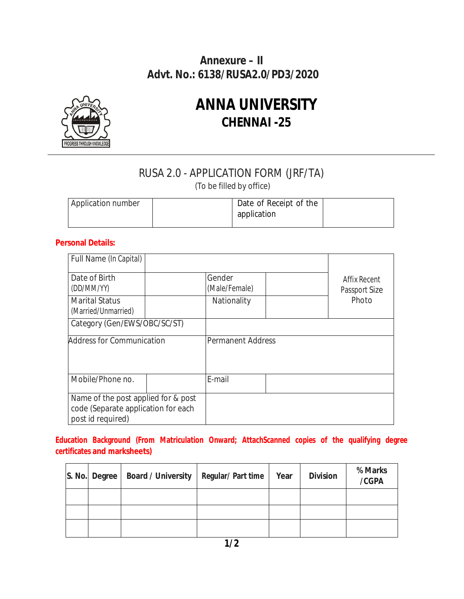### **Annexure – II Advt. No.: 6138/RUSA2.0/PD3/2020**



# **ANNA UNIVERSITY CHENNAI -25**

## RUSA 2.0 - APPLICATION FORM (JRF/TA)

(To be filled by office)

| Application number | Date of Receipt of the |  |
|--------------------|------------------------|--|
|                    | application            |  |
|                    |                        |  |

### **Personal Details:**

| Full Name (In Capital)                                                                          |  |                          |                               |  |
|-------------------------------------------------------------------------------------------------|--|--------------------------|-------------------------------|--|
| Date of Birth<br>(DD/MM/YY)                                                                     |  | Gender<br>(Male/Female)  | Affix Recent<br>Passport Size |  |
| <b>Marital Status</b><br>(Married/Unmarried)                                                    |  | Nationality              | Photo                         |  |
| Category (Gen/EWS/OBC/SC/ST)                                                                    |  |                          |                               |  |
| <b>Address for Communication</b>                                                                |  | <b>Permanent Address</b> |                               |  |
| Mobile/Phone no.                                                                                |  | E-mail                   |                               |  |
| Name of the post applied for & post<br>code (Separate application for each<br>post id required) |  |                          |                               |  |

**Education Background (From Matriculation Onward; AttachScanned copies of the qualifying degree certificates and marksheets)** 

| S. No. Degree | <b>Board / University</b> | <b>Regular/Part time</b> | Year | <b>Division</b> | % Marks<br>/CGPA |
|---------------|---------------------------|--------------------------|------|-----------------|------------------|
|               |                           |                          |      |                 |                  |
|               |                           |                          |      |                 |                  |
|               |                           |                          |      |                 |                  |